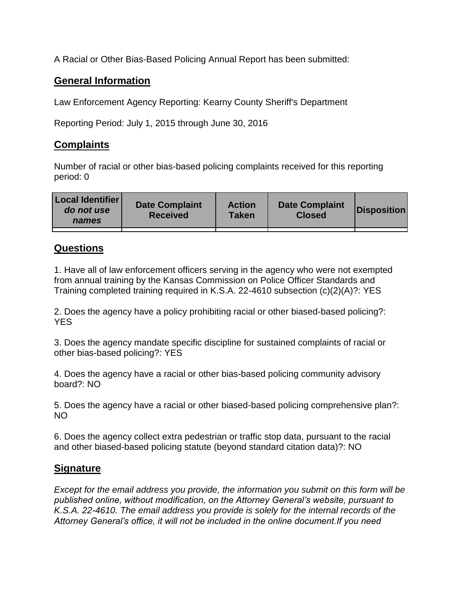A Racial or Other Bias-Based Policing Annual Report has been submitted:

## **General Information**

Law Enforcement Agency Reporting: Kearny County Sheriff's Department

Reporting Period: July 1, 2015 through June 30, 2016

## **Complaints**

Number of racial or other bias-based policing complaints received for this reporting period: 0

| <b>Local Identifier</b><br>do not use<br>names | <b>Date Complaint</b><br><b>Received</b> | <b>Action</b><br><b>Taken</b> | <b>Date Complaint</b><br><b>Closed</b> | Disposition |
|------------------------------------------------|------------------------------------------|-------------------------------|----------------------------------------|-------------|
|                                                |                                          |                               |                                        |             |

## **Questions**

1. Have all of law enforcement officers serving in the agency who were not exempted from annual training by the Kansas Commission on Police Officer Standards and Training completed training required in K.S.A. 22-4610 subsection (c)(2)(A)?: YES

2. Does the agency have a policy prohibiting racial or other biased-based policing?: YES

3. Does the agency mandate specific discipline for sustained complaints of racial or other bias-based policing?: YES

4. Does the agency have a racial or other bias-based policing community advisory board?: NO

5. Does the agency have a racial or other biased-based policing comprehensive plan?: NO

6. Does the agency collect extra pedestrian or traffic stop data, pursuant to the racial and other biased-based policing statute (beyond standard citation data)?: NO

## **Signature**

*Except for the email address you provide, the information you submit on this form will be published online, without modification, on the Attorney General's website, pursuant to K.S.A. 22-4610. The email address you provide is solely for the internal records of the Attorney General's office, it will not be included in the online document.If you need*